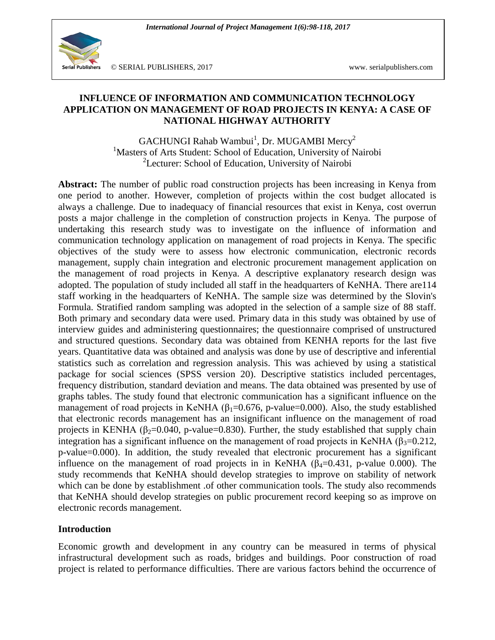

© SERIAL PUBLISHERS, 2017 www. serialpublishers.com

## **INFLUENCE OF INFORMATION AND COMMUNICATION TECHNOLOGY APPLICATION ON MANAGEMENT OF ROAD PROJECTS IN KENYA: A CASE OF NATIONAL HIGHWAY AUTHORITY**

 $\rm GACHUNGI$  Rahab Wambui $^1$ , Dr. MUGAMBI Mercy $^2$ <sup>1</sup>Masters of Arts Student: School of Education, University of Nairobi <sup>2</sup>Lecturer: School of Education, University of Nairobi

Abstract: The number of public road construction projects has been increasing in Kenya from one period to another. However, completion of projects within the cost budget allocated is always a challenge. Due to inadequacy of financial resources that exist in Kenya, cost overrun posts a major challenge in the completion of construction projects in Kenya. The purpose of undertaking this research study was to investigate on the influence of information and communication technology application on management of road projects in Kenya. The specific objectives of the study were to assess how electronic communication, electronic records management, supply chain integration and electronic procurement management application on the management of road projects in Kenya. A descriptive explanatory research design was adopted. The population of study included all staff in the headquarters of KeNHA. There are114 staff working in the headquarters of KeNHA. The sample size was determined by the Slovin's Formula. Stratified random sampling was adopted in the selection of a sample size of 88 staff. Both primary and secondary data were used. Primary data in this study was obtained by use of interview guides and administering questionnaires; the questionnaire comprised of unstructured and structured questions. Secondary data was obtained from KENHA reports for the last five years. Quantitative data was obtained and analysis was done by use of descriptive and inferential statistics such as correlation and regression analysis. This was achieved by using a statistical package for social sciences (SPSS version 20). Descriptive statistics included percentages, frequency distribution, standard deviation and means. The data obtained was presented by use of graphs tables. The study found that electronic communication has a significant influence on the management of road projects in KeNHA ( $\beta_1$ =0.676, p-value=0.000). Also, the study established that electronic records management has an insignificant influence on the management of road projects in KENHA ( $\beta$ <sub>2</sub>=0.040, p-value=0.830). Further, the study established that supply chain integration has a significant influence on the management of road projects in KeNHA ( $\beta_3=0.212$ , p-value=0.000). In addition, the study revealed that electronic procurement has a significant influence on the management of road projects in in KeNHA ( $\beta_4$ =0.431, p-value 0.000). The study recommends that KeNHA should develop strategies to improve on stability of network which can be done by establishment .of other communication tools. The study also recommends that KeNHA should develop strategies on public procurement record keeping so as improve on electronic records management.

### **Introduction**

Economic growth and development in any country can be measured in terms of physical infrastructural development such as roads, bridges and buildings. Poor construction of road project is related to performance difficulties. There are various factors behind the occurrence of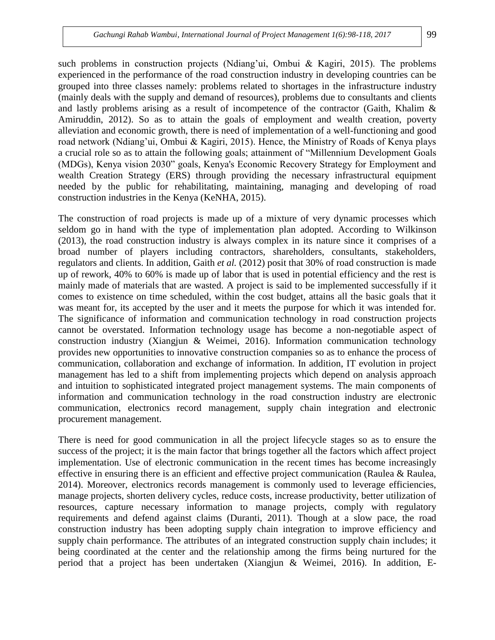such problems in construction projects (Ndiang'ui, Ombui & Kagiri, 2015). The problems experienced in the performance of the road construction industry in developing countries can be grouped into three classes namely: problems related to shortages in the infrastructure industry (mainly deals with the supply and demand of resources), problems due to consultants and clients and lastly problems arising as a result of incompetence of the contractor (Gaith, Khalim & Amiruddin, 2012). So as to attain the goals of employment and wealth creation, poverty alleviation and economic growth, there is need of implementation of a well-functioning and good road network (Ndiang'ui, Ombui & Kagiri, 2015). Hence, the Ministry of Roads of Kenya plays a crucial role so as to attain the following goals; attainment of "Millennium Development Goals (MDGs), Kenya vision 2030" goals, Kenya's Economic Recovery Strategy for Employment and wealth Creation Strategy (ERS) through providing the necessary infrastructural equipment needed by the public for rehabilitating, maintaining, managing and developing of road construction industries in the Kenya (KeNHA, 2015).

The construction of road projects is made up of a mixture of very dynamic processes which seldom go in hand with the type of implementation plan adopted. According to Wilkinson (2013), the road construction industry is always complex in its nature since it comprises of a broad number of players including contractors, shareholders, consultants, stakeholders, regulators and clients. In addition, Gaith *et al.* (2012) posit that 30% of road construction is made up of rework, 40% to 60% is made up of labor that is used in potential efficiency and the rest is mainly made of materials that are wasted. A project is said to be implemented successfully if it comes to existence on time scheduled, within the cost budget, attains all the basic goals that it was meant for, its accepted by the user and it meets the purpose for which it was intended for. The significance of information and communication technology in road construction projects cannot be overstated. Information technology usage has become a non-negotiable aspect of construction industry (Xiangjun & Weimei, 2016). Information communication technology provides new opportunities to innovative construction companies so as to enhance the process of communication, collaboration and exchange of information. In addition, IT evolution in project management has led to a shift from implementing projects which depend on analysis approach and intuition to sophisticated integrated project management systems. The main components of information and communication technology in the road construction industry are electronic communication, electronics record management, supply chain integration and electronic procurement management.

There is need for good communication in all the project lifecycle stages so as to ensure the success of the project; it is the main factor that brings together all the factors which affect project implementation. Use of electronic communication in the recent times has become increasingly effective in ensuring there is an efficient and effective project communication (Raulea  $\&$  Raulea, 2014). Moreover, electronics records management is commonly used to leverage efficiencies, manage projects, shorten delivery cycles, reduce costs, increase productivity, better utilization of resources, capture necessary information to manage projects, comply with regulatory requirements and defend against claims (Duranti, 2011). Though at a slow pace, the road construction industry has been adopting supply chain integration to improve efficiency and supply chain performance. The attributes of an integrated construction supply chain includes; it being coordinated at the center and the relationship among the firms being nurtured for the period that a project has been undertaken (Xiangjun & Weimei, 2016). In addition, E-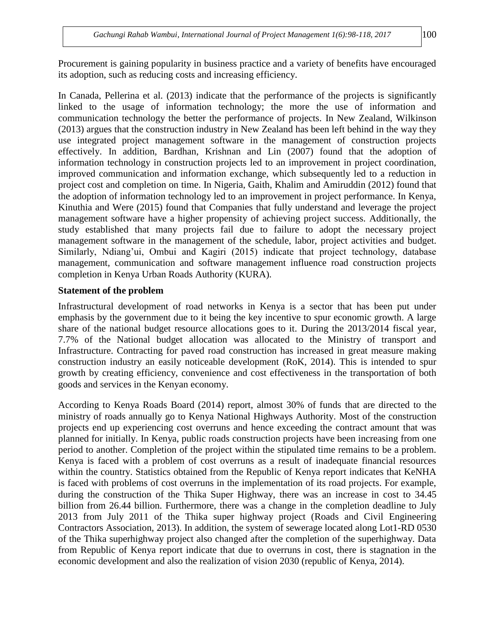In Canada, Pellerina et al. (2013) indicate that the performance of the projects is significantly linked to the usage of information technology; the more the use of information and communication technology the better the performance of projects. In New Zealand, Wilkinson (2013) argues that the construction industry in New Zealand has been left behind in the way they use integrated project management software in the management of construction projects effectively. In addition, Bardhan, Krishnan and Lin (2007) found that the adoption of information technology in construction projects led to an improvement in project coordination, improved communication and information exchange, which subsequently led to a reduction in project cost and completion on time. In Nigeria, Gaith, Khalim and Amiruddin (2012) found that the adoption of information technology led to an improvement in project performance. In Kenya, Kinuthia and Were (2015) found that Companies that fully understand and leverage the project management software have a higher propensity of achieving project success. Additionally, the study established that many projects fail due to failure to adopt the necessary project management software in the management of the schedule, labor, project activities and budget. Similarly, Ndiang'ui, Ombui and Kagiri (2015) indicate that project technology, database management, communication and software management influence road construction projects completion in Kenya Urban Roads Authority (KURA).

## **Statement of the problem**

Infrastructural development of road networks in Kenya is a sector that has been put under emphasis by the government due to it being the key incentive to spur economic growth. A large share of the national budget resource allocations goes to it. During the 2013/2014 fiscal year, 7.7% of the National budget allocation was allocated to the Ministry of transport and Infrastructure. Contracting for paved road construction has increased in great measure making construction industry an easily noticeable development (RoK, 2014). This is intended to spur growth by creating efficiency, convenience and cost effectiveness in the transportation of both goods and services in the Kenyan economy.

According to Kenya Roads Board (2014) report, almost 30% of funds that are directed to the ministry of roads annually go to Kenya National Highways Authority. Most of the construction projects end up experiencing cost overruns and hence exceeding the contract amount that was planned for initially. In Kenya, public roads construction projects have been increasing from one period to another. Completion of the project within the stipulated time remains to be a problem. Kenya is faced with a problem of cost overruns as a result of inadequate financial resources within the country. Statistics obtained from the Republic of Kenya report indicates that KeNHA is faced with problems of cost overruns in the implementation of its road projects. For example, during the construction of the Thika Super Highway, there was an increase in cost to 34.45 billion from 26.44 billion. Furthermore, there was a change in the completion deadline to July 2013 from July 2011 of the Thika super highway project (Roads and Civil Engineering Contractors Association, 2013). In addition, the system of sewerage located along Lot1-RD 0530 of the Thika superhighway project also changed after the completion of the superhighway. Data from Republic of Kenya report indicate that due to overruns in cost, there is stagnation in the economic development and also the realization of vision 2030 (republic of Kenya, 2014).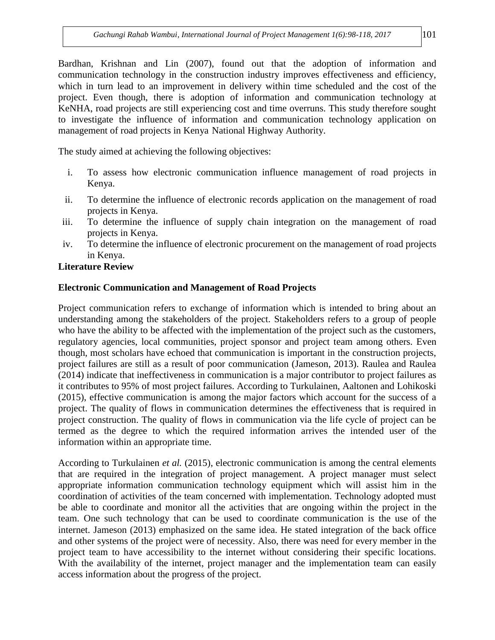Bardhan, Krishnan and Lin (2007), found out that the adoption of information and communication technology in the construction industry improves effectiveness and efficiency, which in turn lead to an improvement in delivery within time scheduled and the cost of the project. Even though, there is adoption of information and communication technology at KeNHA, road projects are still experiencing cost and time overruns. This study therefore sought to investigate the influence of information and communication technology application on management of road projects in Kenya National Highway Authority.

The study aimed at achieving the following objectives:

- i. To assess how electronic communication influence management of road projects in Kenya.
- ii. To determine the influence of electronic records application on the management of road projects in Kenya.
- iii. To determine the influence of supply chain integration on the management of road projects in Kenya.
- iv. To determine the influence of electronic procurement on the management of road projects in Kenya.

## **Literature Review**

## **Electronic Communication and Management of Road Projects**

Project communication refers to exchange of information which is intended to bring about an understanding among the stakeholders of the project. Stakeholders refers to a group of people who have the ability to be affected with the implementation of the project such as the customers, regulatory agencies, local communities, project sponsor and project team among others. Even though, most scholars have echoed that communication is important in the construction projects, project failures are still as a result of poor communication (Jameson, 2013). Raulea and Raulea (2014) indicate that ineffectiveness in communication is a major contributor to project failures as it contributes to 95% of most project failures. According to Turkulainen, Aaltonen and Lohikoski (2015), effective communication is among the major factors which account for the success of a project. The quality of flows in communication determines the effectiveness that is required in project construction. The quality of flows in communication via the life cycle of project can be termed as the degree to which the required information arrives the intended user of the information within an appropriate time.

According to Turkulainen *et al.* (2015), electronic communication is among the central elements that are required in the integration of project management. A project manager must select appropriate information communication technology equipment which will assist him in the coordination of activities of the team concerned with implementation. Technology adopted must be able to coordinate and monitor all the activities that are ongoing within the project in the team. One such technology that can be used to coordinate communication is the use of the internet. Jameson (2013) emphasized on the same idea. He stated integration of the back office and other systems of the project were of necessity. Also, there was need for every member in the project team to have accessibility to the internet without considering their specific locations. With the availability of the internet, project manager and the implementation team can easily access information about the progress of the project.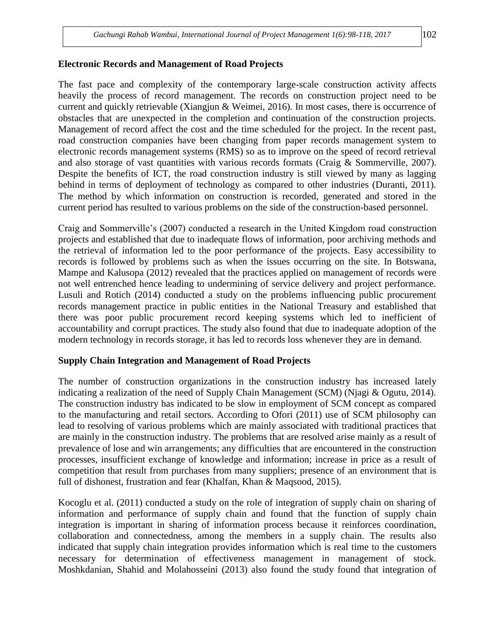#### **Electronic Records and Management of Road Projects**

The fast pace and complexity of the contemporary large-scale construction activity affects heavily the process of record management. The records on construction project need to be current and quickly retrievable (Xiangjun & Weimei, 2016). In most cases, there is occurrence of obstacles that are unexpected in the completion and continuation of the construction projects. Management of record affect the cost and the time scheduled for the project. In the recent past, road construction companies have been changing from paper records management system to electronic records management systems (RMS) so as to improve on the speed of record retrieval and also storage of vast quantities with various records formats (Craig & Sommerville, 2007). Despite the benefits of ICT, the road construction industry is still viewed by many as lagging behind in terms of deployment of technology as compared to other industries (Duranti, 2011). The method by which information on construction is recorded, generated and stored in the current period has resulted to various problems on the side of the construction-based personnel.

Craig and Sommerville's (2007) conducted a research in the United Kingdom road construction projects and established that due to inadequate flows of information, poor archiving methods and the retrieval of information led to the poor performance of the projects. Easy accessibility to records is followed by problems such as when the issues occurring on the site. In Botswana, Mampe and Kalusopa (2012) revealed that the practices applied on management of records were not well entrenched hence leading to undermining of service delivery and project performance. Lusuli and Rotich (2014) conducted a study on the problems influencing public procurement records management practice in public entities in the National Treasury and established that there was poor public procurement record keeping systems which led to inefficient of accountability and corrupt practices. The study also found that due to inadequate adoption of the modern technology in records storage, it has led to records loss whenever they are in demand.

### **Supply Chain Integration and Management of Road Projects**

The number of construction organizations in the construction industry has increased lately indicating a realization of the need of Supply Chain Management (SCM) (Njagi & Ogutu, 2014). The construction industry has indicated to be slow in employment of SCM concept as compared to the manufacturing and retail sectors. According to Ofori (2011) use of SCM philosophy can lead to resolving of various problems which are mainly associated with traditional practices that are mainly in the construction industry. The problems that are resolved arise mainly as a result of prevalence of lose and win arrangements; any difficulties that are encountered in the construction processes, insufficient exchange of knowledge and information; increase in price as a result of competition that result from purchases from many suppliers; presence of an environment that is full of dishonest, frustration and fear (Khalfan, Khan & Maqsood, 2015).

Kocoglu et al. (2011) conducted a study on the role of integration of supply chain on sharing of information and performance of supply chain and found that the function of supply chain integration is important in sharing of information process because it reinforces coordination, collaboration and connectedness, among the members in a supply chain. The results also indicated that supply chain integration provides information which is real time to the customers necessary for determination of effectiveness management in management of stock. Moshkdanian, Shahid and Molahosseini (2013) also found the study found that integration of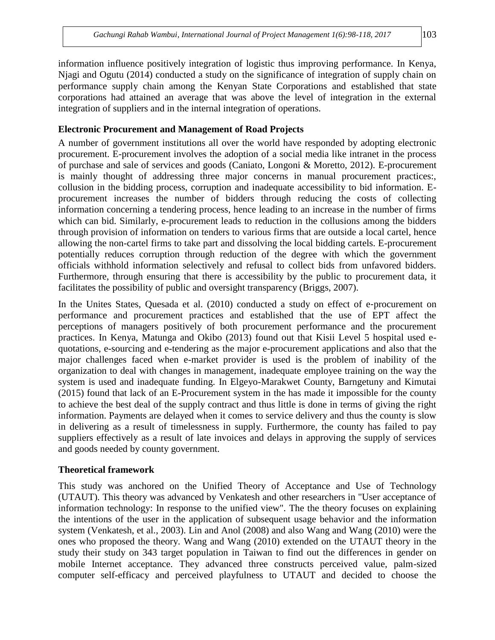information influence positively integration of logistic thus improving performance. In Kenya, Njagi and Ogutu (2014) conducted a study on the significance of integration of supply chain on performance supply chain among the Kenyan State Corporations and established that state corporations had attained an average that was above the level of integration in the external integration of suppliers and in the internal integration of operations.

## **Electronic Procurement and Management of Road Projects**

A number of government institutions all over the world have responded by adopting electronic procurement. E-procurement involves the adoption of a social media like intranet in the process of purchase and sale of services and goods (Caniato, Longoni & Moretto, 2012). E-procurement is mainly thought of addressing three major concerns in manual procurement practices:, collusion in the bidding process, corruption and inadequate accessibility to bid information. Eprocurement increases the number of bidders through reducing the costs of collecting information concerning a tendering process, hence leading to an increase in the number of firms which can bid. Similarly, e-procurement leads to reduction in the collusions among the bidders through provision of information on tenders to various firms that are outside a local cartel, hence allowing the non-cartel firms to take part and dissolving the local bidding cartels. E-procurement potentially reduces corruption through reduction of the degree with which the government officials withhold information selectively and refusal to collect bids from unfavored bidders. Furthermore, through ensuring that there is accessibility by the public to procurement data, it facilitates the possibility of public and oversight transparency (Briggs, 2007).

In the Unites States, Quesada et al. (2010) conducted a study on effect of e-procurement on performance and procurement practices and established that the use of EPT affect the perceptions of managers positively of both procurement performance and the procurement practices. In Kenya, Matunga and Okibo (2013) found out that Kisii Level 5 hospital used equotations, e-sourcing and e-tendering as the major e-procurement applications and also that the major challenges faced when e-market provider is used is the problem of inability of the organization to deal with changes in management, inadequate employee training on the way the system is used and inadequate funding. In Elgeyo-Marakwet County, Barngetuny and Kimutai (2015) found that lack of an E-Procurement system in the has made it impossible for the county to achieve the best deal of the supply contract and thus little is done in terms of giving the right information. Payments are delayed when it comes to service delivery and thus the county is slow in delivering as a result of timelessness in supply. Furthermore, the county has failed to pay suppliers effectively as a result of late invoices and delays in approving the supply of services and goods needed by county government.

## **Theoretical framework**

This study was anchored on the Unified Theory of Acceptance and Use of Technology (UTAUT). This theory was advanced by Venkatesh and other researchers in "User acceptance of information technology: In response to the unified view". The the theory focuses on explaining the intentions of the user in the application of subsequent usage behavior and the information system (Venkatesh, et al., 2003). Lin and Anol (2008) and also Wang and Wang (2010) were the ones who proposed the theory. Wang and Wang (2010) extended on the UTAUT theory in the study their study on 343 target population in Taiwan to find out the differences in gender on mobile Internet acceptance. They advanced three constructs perceived value, palm-sized computer self-efficacy and perceived playfulness to UTAUT and decided to choose the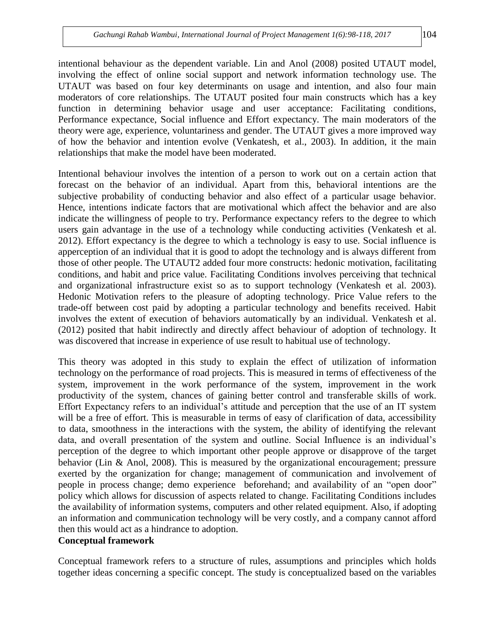intentional behaviour as the dependent variable. Lin and Anol (2008) posited UTAUT model, involving the effect of online social support and network information technology use. The UTAUT was based on four key determinants on usage and intention, and also four main moderators of core relationships. The UTAUT posited four main constructs which has a key function in determining behavior usage and user acceptance: Facilitating conditions, Performance expectance, Social influence and Effort expectancy. The main moderators of the theory were age, experience, voluntariness and gender. The UTAUT gives a more improved way of how the behavior and intention evolve (Venkatesh, et al., 2003). In addition, it the main relationships that make the model have been moderated.

Intentional behaviour involves the intention of a person to work out on a certain action that forecast on the behavior of an individual. Apart from this, behavioral intentions are the subjective probability of conducting behavior and also effect of a particular usage behavior. Hence, intentions indicate factors that are motivational which affect the behavior and are also indicate the willingness of people to try. Performance expectancy refers to the degree to which users gain advantage in the use of a technology while conducting activities (Venkatesh et al. 2012). Effort expectancy is the degree to which a technology is easy to use. Social influence is apperception of an individual that it is good to adopt the technology and is always different from those of other people. The UTAUT2 added four more constructs: hedonic motivation, facilitating conditions, and habit and price value. Facilitating Conditions involves perceiving that technical and organizational infrastructure exist so as to support technology (Venkatesh et al. 2003). Hedonic Motivation refers to the pleasure of adopting technology. Price Value refers to the trade-off between cost paid by adopting a particular technology and benefits received. Habit involves the extent of execution of behaviors automatically by an individual. Venkatesh et al. (2012) posited that habit indirectly and directly affect behaviour of adoption of technology. It was discovered that increase in experience of use result to habitual use of technology.

This theory was adopted in this study to explain the effect of utilization of information technology on the performance of road projects. This is measured in terms of effectiveness of the system, improvement in the work performance of the system, improvement in the work productivity of the system, chances of gaining better control and transferable skills of work. Effort Expectancy refers to an individual's attitude and perception that the use of an IT system will be a free of effort. This is measurable in terms of easy of clarification of data, accessibility to data, smoothness in the interactions with the system, the ability of identifying the relevant data, and overall presentation of the system and outline. Social Influence is an individual's perception of the degree to which important other people approve or disapprove of the target behavior (Lin & Anol, 2008). This is measured by the organizational encouragement; pressure exerted by the organization for change; management of communication and involvement of people in process change; demo experience beforehand; and availability of an "open door" policy which allows for discussion of aspects related to change. Facilitating Conditions includes the availability of information systems, computers and other related equipment. Also, if adopting an information and communication technology will be very costly, and a company cannot afford then this would act as a hindrance to adoption.

### **Conceptual framework**

Conceptual framework refers to a structure of rules, assumptions and principles which holds together ideas concerning a specific concept. The study is conceptualized based on the variables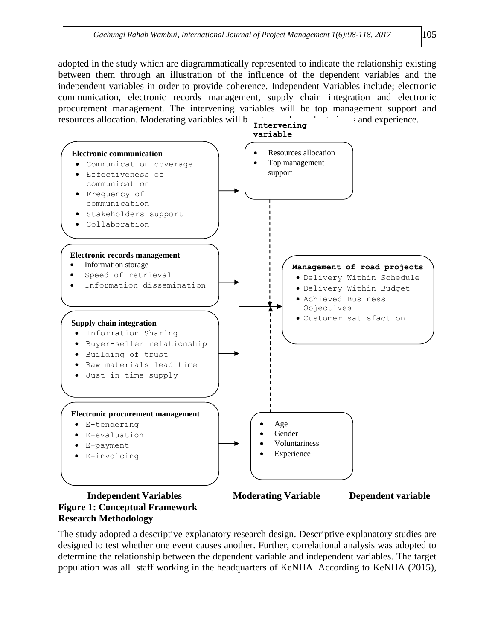adopted in the study which are diagrammatically represented to indicate the relationship existing between them through an illustration of the influence of the dependent variables and the independent variables in order to provide coherence. Independent Variables include; electronic communication, electronic records management, supply chain integration and electronic procurement management. The intervening variables will be top management support and resources allocation. Moderating variables will  $\mathfrak{b}$  and  $\mathfrak{c}$  and experience.



# **Research Methodology**

The study adopted a descriptive explanatory research design. Descriptive explanatory studies are designed to test whether one event causes another. Further, correlational analysis was adopted to determine the relationship between the dependent variable and independent variables. The target population was all staff working in the headquarters of KeNHA. According to KeNHA (2015),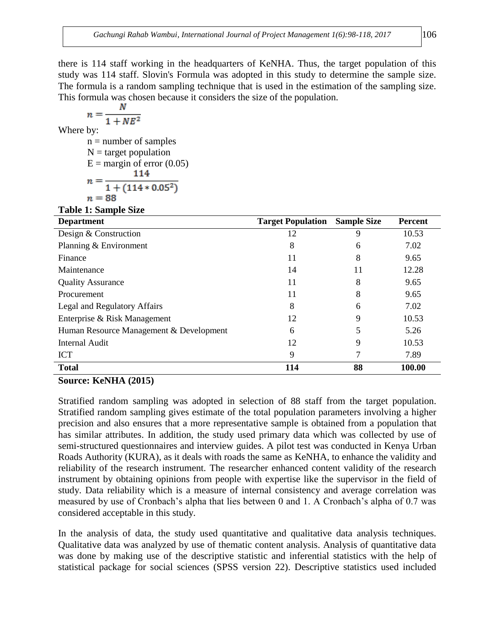there is 114 staff working in the headquarters of KeNHA. Thus, the target population of this study was 114 staff. Slovin's Formula was adopted in this study to determine the sample size. The formula is a random sampling technique that is used in the estimation of the sampling size. This formula was chosen because it considers the size of the population.

$$
n = \frac{N}{1 + NE^2}
$$
  
Where by:  
n = number of samples  
N = target population  
E = margin of error (0.05)  

$$
n = \frac{114}{1 + (114 * 0.05^2)}
$$
  
n = 88

**Table 1: Sample Size**

| <b>Department</b>                       | <b>Target Population</b> | <b>Sample Size</b> | <b>Percent</b> |
|-----------------------------------------|--------------------------|--------------------|----------------|
| Design & Construction                   | 12                       | 9                  | 10.53          |
| Planning & Environment                  | 8                        | 6                  | 7.02           |
| Finance                                 | 11                       | 8                  | 9.65           |
| Maintenance                             | 14                       | 11                 | 12.28          |
| <b>Quality Assurance</b>                | 11                       | 8                  | 9.65           |
| Procurement                             | 11                       | 8                  | 9.65           |
| Legal and Regulatory Affairs            | 8                        | 6                  | 7.02           |
| Enterprise & Risk Management            | 12                       | 9                  | 10.53          |
| Human Resource Management & Development | 6                        | 5                  | 5.26           |
| <b>Internal Audit</b>                   | 12                       | 9                  | 10.53          |
| <b>ICT</b>                              | 9                        | 7                  | 7.89           |
| <b>Total</b>                            | 114                      | 88                 | 100.00         |

#### **Source: KeNHA (2015)**

Stratified random sampling was adopted in selection of 88 staff from the target population. Stratified random sampling gives estimate of the total population parameters involving a higher precision and also ensures that a more representative sample is obtained from a population that has similar attributes. In addition, the study used primary data which was collected by use of semi-structured questionnaires and interview guides. A pilot test was conducted in Kenya Urban Roads Authority (KURA), as it deals with roads the same as KeNHA, to enhance the validity and reliability of the research instrument. The researcher enhanced content validity of the research instrument by obtaining opinions from people with expertise like the supervisor in the field of study. Data reliability which is a measure of internal consistency and average correlation was measured by use of Cronbach's alpha that lies between 0 and 1. A Cronbach's alpha of 0.7 was considered acceptable in this study.

In the analysis of data, the study used quantitative and qualitative data analysis techniques. Qualitative data was analyzed by use of thematic content analysis. Analysis of quantitative data was done by making use of the descriptive statistic and inferential statistics with the help of statistical package for social sciences (SPSS version 22). Descriptive statistics used included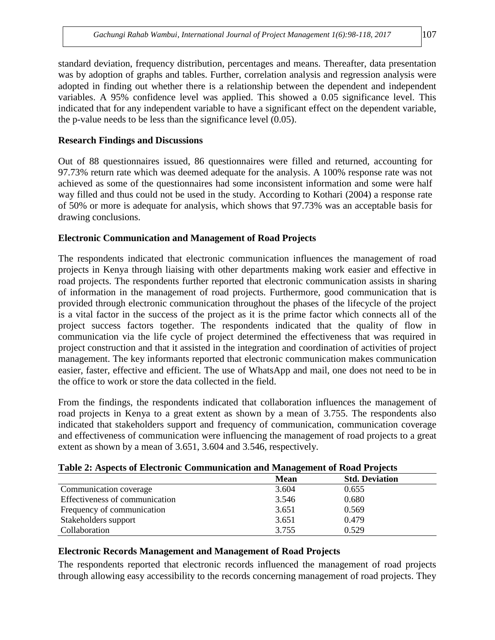standard deviation, frequency distribution, percentages and means. Thereafter, data presentation was by adoption of graphs and tables. Further, correlation analysis and regression analysis were adopted in finding out whether there is a relationship between the dependent and independent variables. A 95% confidence level was applied. This showed a 0.05 significance level. This indicated that for any independent variable to have a significant effect on the dependent variable, the p-value needs to be less than the significance level (0.05).

## **Research Findings and Discussions**

Out of 88 questionnaires issued, 86 questionnaires were filled and returned, accounting for 97.73% return rate which was deemed adequate for the analysis. A 100% response rate was not achieved as some of the questionnaires had some inconsistent information and some were half way filled and thus could not be used in the study. According to Kothari (2004) a response rate of 50% or more is adequate for analysis, which shows that 97.73% was an acceptable basis for drawing conclusions.

## **Electronic Communication and Management of Road Projects**

The respondents indicated that electronic communication influences the management of road projects in Kenya through liaising with other departments making work easier and effective in road projects. The respondents further reported that electronic communication assists in sharing of information in the management of road projects. Furthermore, good communication that is provided through electronic communication throughout the phases of the lifecycle of the project is a vital factor in the success of the project as it is the prime factor which connects all of the project success factors together. The respondents indicated that the quality of flow in communication via the life cycle of project determined the effectiveness that was required in project construction and that it assisted in the integration and coordination of activities of project management. The key informants reported that electronic communication makes communication easier, faster, effective and efficient. The use of WhatsApp and mail, one does not need to be in the office to work or store the data collected in the field.

From the findings, the respondents indicated that collaboration influences the management of road projects in Kenya to a great extent as shown by a mean of 3.755. The respondents also indicated that stakeholders support and frequency of communication, communication coverage and effectiveness of communication were influencing the management of road projects to a great extent as shown by a mean of 3.651, 3.604 and 3.546, respectively.

| Table 2: Aspects of Electronic Communication and Management of Road Projects |  |
|------------------------------------------------------------------------------|--|
|------------------------------------------------------------------------------|--|

|                                | <b>Mean</b> | <b>Std. Deviation</b> |  |
|--------------------------------|-------------|-----------------------|--|
| Communication coverage         | 3.604       | 0.655                 |  |
| Effectiveness of communication | 3.546       | 0.680                 |  |
| Frequency of communication     | 3.651       | 0.569                 |  |
| Stakeholders support           | 3.651       | 0.479                 |  |
| Collaboration                  | 3.755       | 0.529                 |  |

## **Electronic Records Management and Management of Road Projects**

The respondents reported that electronic records influenced the management of road projects through allowing easy accessibility to the records concerning management of road projects. They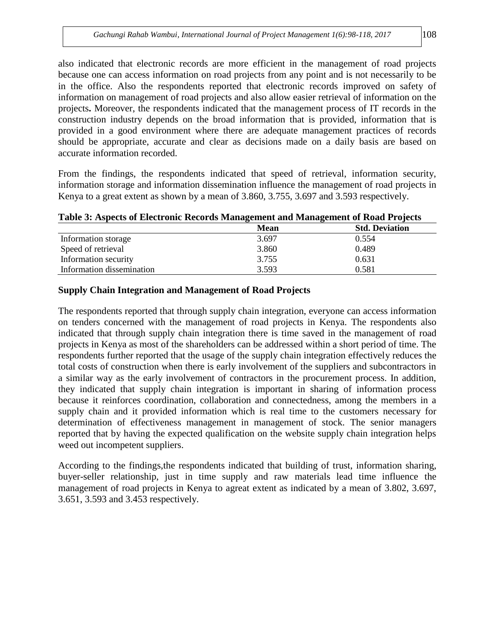also indicated that electronic records are more efficient in the management of road projects because one can access information on road projects from any point and is not necessarily to be in the office. Also the respondents reported that electronic records improved on safety of information on management of road projects and also allow easier retrieval of information on the projects**.** Moreover, the respondents indicated that the management process of IT records in the construction industry depends on the broad information that is provided, information that is provided in a good environment where there are adequate management practices of records should be appropriate, accurate and clear as decisions made on a daily basis are based on accurate information recorded.

From the findings, the respondents indicated that speed of retrieval, information security, information storage and information dissemination influence the management of road projects in Kenya to a great extent as shown by a mean of 3.860, 3.755, 3.697 and 3.593 respectively.

|  | Table 3: Aspects of Electronic Records Management and Management of Road Projects |                                        |
|--|-----------------------------------------------------------------------------------|----------------------------------------|
|  | $M_{\odot}$                                                                       | $\mathbf{A}$ $\mathbf{D}$ $\mathbf{A}$ |

|                           | Mean  | <b>Std. Deviation</b> |
|---------------------------|-------|-----------------------|
| Information storage       | 3.697 | 0.554                 |
| Speed of retrieval        | 3.860 | 0.489                 |
| Information security      | 3.755 | 0.631                 |
| Information dissemination | 3.593 | 0.581                 |

## **Supply Chain Integration and Management of Road Projects**

The respondents reported that through supply chain integration, everyone can access information on tenders concerned with the management of road projects in Kenya. The respondents also indicated that through supply chain integration there is time saved in the management of road projects in Kenya as most of the shareholders can be addressed within a short period of time. The respondents further reported that the usage of the supply chain integration effectively reduces the total costs of construction when there is early involvement of the suppliers and subcontractors in a similar way as the early involvement of contractors in the procurement process. In addition, they indicated that supply chain integration is important in sharing of information process because it reinforces coordination, collaboration and connectedness, among the members in a supply chain and it provided information which is real time to the customers necessary for determination of effectiveness management in management of stock. The senior managers reported that by having the expected qualification on the website supply chain integration helps weed out incompetent suppliers.

According to the findings,the respondents indicated that building of trust, information sharing, buyer-seller relationship, just in time supply and raw materials lead time influence the management of road projects in Kenya to agreat extent as indicated by a mean of 3.802, 3.697, 3.651, 3.593 and 3.453 respectively.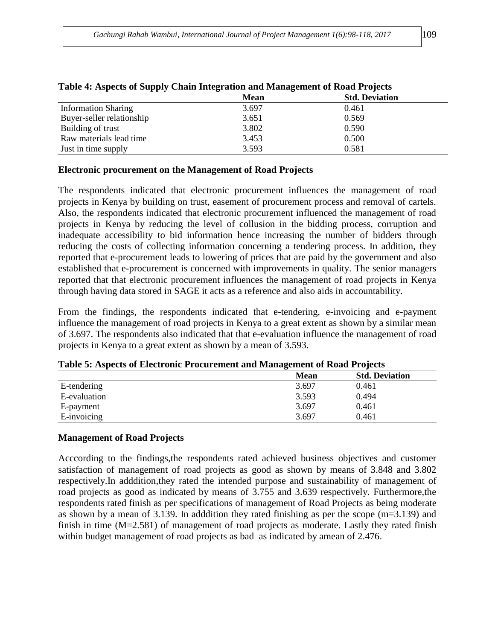| Table 4. Aspects of Supply Chain Integration and Management of Koau I rojects |             |                       |  |  |  |
|-------------------------------------------------------------------------------|-------------|-----------------------|--|--|--|
|                                                                               | <b>Mean</b> | <b>Std. Deviation</b> |  |  |  |
| <b>Information Sharing</b>                                                    | 3.697       | 0.461                 |  |  |  |
| Buyer-seller relationship                                                     | 3.651       | 0.569                 |  |  |  |
| Building of trust                                                             | 3.802       | 0.590                 |  |  |  |
| Raw materials lead time                                                       | 3.453       | 0.500                 |  |  |  |
| Just in time supply                                                           | 3.593       | 0.581                 |  |  |  |

#### **Table 4: Aspects of Supply Chain Integration and Management of Road Projects**

#### **Electronic procurement on the Management of Road Projects**

The respondents indicated that electronic procurement influences the management of road projects in Kenya by building on trust, easement of procurement process and removal of cartels. Also, the respondents indicated that electronic procurement influenced the management of road projects in Kenya by reducing the level of collusion in the bidding process, corruption and inadequate accessibility to bid information hence increasing the number of bidders through reducing the costs of collecting information concerning a tendering process. In addition, they reported that e-procurement leads to lowering of prices that are paid by the government and also established that e-procurement is concerned with improvements in quality. The senior managers reported that that electronic procurement influences the management of road projects in Kenya through having data stored in SAGE it acts as a reference and also aids in accountability.

From the findings, the respondents indicated that e-tendering, e-invoicing and e-payment influence the management of road projects in Kenya to a great extent as shown by a similar mean of 3.697. The respondents also indicated that that e-evaluation influence the management of road projects in Kenya to a great extent as shown by a mean of 3.593.

|              | <b>Mean</b> | <b>Std. Deviation</b> |
|--------------|-------------|-----------------------|
| E-tendering  | 3.697       | 0.461                 |
| E-evaluation | 3.593       | 0.494                 |
| E-payment    | 3.697       | 0.461                 |
| E-invoicing  | 3.697       | 0.461                 |

**Table 5: Aspects of Electronic Procurement and Management of Road Projects**

### **Management of Road Projects**

Acccording to the findings,the respondents rated achieved business objectives and customer satisfaction of management of road projects as good as shown by means of 3.848 and 3.802 respectively.In adddition,they rated the intended purpose and sustainability of management of road projects as good as indicated by means of 3.755 and 3.639 respectively. Furthermore,the respondents rated finish as per specifications of management of Road Projects as being moderate as shown by a mean of 3.139. In adddition they rated finishing as per the scope (m=3.139) and finish in time (M=2.581) of management of road projects as moderate. Lastly they rated finish within budget management of road projects as bad as indicated by amean of 2.476.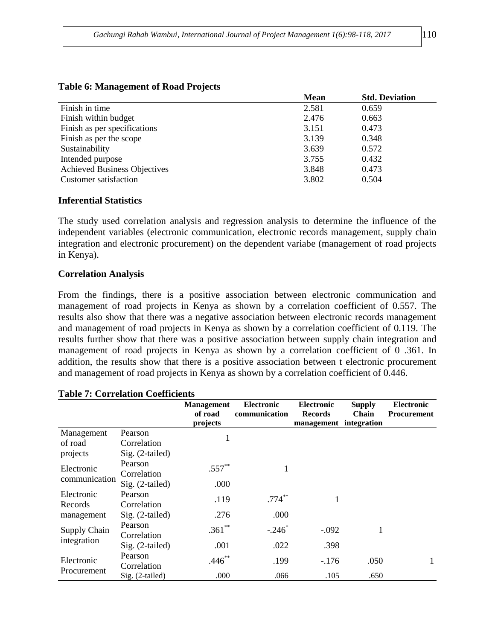| $\overline{\phantom{a}}$            |             |                       |
|-------------------------------------|-------------|-----------------------|
|                                     | <b>Mean</b> | <b>Std. Deviation</b> |
| Finish in time                      | 2.581       | 0.659                 |
| Finish within budget                | 2.476       | 0.663                 |
| Finish as per specifications        | 3.151       | 0.473                 |
| Finish as per the scope             | 3.139       | 0.348                 |
| Sustainability                      | 3.639       | 0.572                 |
| Intended purpose                    | 3.755       | 0.432                 |
| <b>Achieved Business Objectives</b> | 3.848       | 0.473                 |
| Customer satisfaction               | 3.802       | 0.504                 |

#### **Table 6: Management of Road Projects**

#### **Inferential Statistics**

The study used correlation analysis and regression analysis to determine the influence of the independent variables (electronic communication, electronic records management, supply chain integration and electronic procurement) on the dependent variabe (management of road projects in Kenya).

#### **Correlation Analysis**

From the findings, there is a positive association between electronic communication and management of road projects in Kenya as shown by a correlation coefficient of 0.557. The results also show that there was a negative association between electronic records management and management of road projects in Kenya as shown by a correlation coefficient of 0.119. The results further show that there was a positive association between supply chain integration and management of road projects in Kenya as shown by a correlation coefficient of 0 .361. In addition, the results show that there is a positive association between t electronic procurement and management of road projects in Kenya as shown by a correlation coefficient of 0.446.

| Table 7. Correlation Coemicients   |                        |                                          |                                    |                                                               |                               |                                         |  |
|------------------------------------|------------------------|------------------------------------------|------------------------------------|---------------------------------------------------------------|-------------------------------|-----------------------------------------|--|
|                                    |                        | <b>Management</b><br>of road<br>projects | <b>Electronic</b><br>communication | <b>Electronic</b><br><b>Records</b><br>management integration | <b>Supply</b><br><b>Chain</b> | <b>Electronic</b><br><b>Procurement</b> |  |
| Management                         | Pearson                |                                          |                                    |                                                               |                               |                                         |  |
| of road                            | Correlation            | 1                                        |                                    |                                                               |                               |                                         |  |
| projects                           | Sig. (2-tailed)        |                                          |                                    |                                                               |                               |                                         |  |
| Electronic<br>communication        | Pearson<br>Correlation | $.557***$                                |                                    |                                                               |                               |                                         |  |
|                                    | Sig. (2-tailed)        | .000                                     |                                    |                                                               |                               |                                         |  |
| Electronic<br>Records              | Pearson<br>Correlation | .119                                     | $.774***$                          | 1                                                             |                               |                                         |  |
| management                         | Sig. (2-tailed)        | .276                                     | .000                               |                                                               |                               |                                         |  |
| <b>Supply Chain</b><br>integration | Pearson<br>Correlation | $.361**$                                 | $-.246$ <sup>*</sup>               | $-.092$                                                       | 1                             |                                         |  |
|                                    | $Sig. (2-tailed)$      | .001                                     | .022                               | .398                                                          |                               |                                         |  |
| Electronic                         | Pearson<br>Correlation | $.446**$                                 | .199                               | $-176$                                                        | .050                          |                                         |  |
| Procurement                        | Sig. (2-tailed)        | .000                                     | .066                               | .105                                                          | .650                          |                                         |  |

## **Table 7: Correlation Coefficients**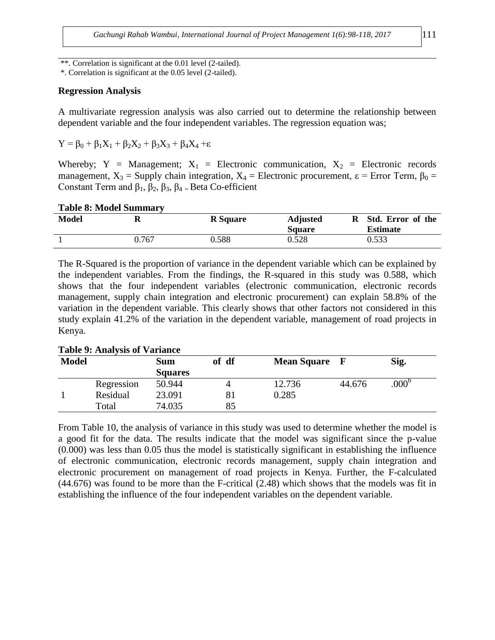\*\*. Correlation is significant at the 0.01 level (2-tailed).

\*. Correlation is significant at the 0.05 level (2-tailed).

#### **Regression Analysis**

A multivariate regression analysis was also carried out to determine the relationship between dependent variable and the four independent variables. The regression equation was;

$$
Y = \beta_0 + \beta_1 X_1 + \beta_2 X_2 + \beta_3 X_3 + \beta_4 X_4 + \epsilon
$$

Whereby; Y = Management;  $X_1$  = Electronic communication,  $X_2$  = Electronic records management,  $X_3$  = Supply chain integration,  $X_4$  = Electronic procurement,  $\varepsilon$  = Error Term,  $\beta_0$  = Constant Term and  $\beta_1$ ,  $\beta_2$ ,  $\beta_3$ ,  $\beta_4$  = Beta Co-efficient

#### **Table 8: Model Summary Model R R Square Adjusted R Square Std. Error of the Estimate** 1 0.767 0.588 0.528 0.533

The R-Squared is the proportion of variance in the dependent variable which can be explained by the independent variables. From the findings, the R-squared in this study was 0.588, which shows that the four independent variables (electronic communication, electronic records management, supply chain integration and electronic procurement) can explain 58.8% of the variation in the dependent variable. This clearly shows that other factors not considered in this study explain 41.2% of the variation in the dependent variable, management of road projects in Kenya.

| <b>Model</b> |            | Sum<br><b>Squares</b> | of df | <b>Mean Square</b> |        | Sig.             |
|--------------|------------|-----------------------|-------|--------------------|--------|------------------|
|              | Regression | 50.944                |       | 12.736             | 44.676 | 000 <sup>b</sup> |
|              | Residual   | 23.091                | 81    | 0.285              |        |                  |
|              | Total      | 74.035                | 85    |                    |        |                  |

**Table 9: Analysis of Variance** 

From Table 10, the analysis of variance in this study was used to determine whether the model is a good fit for the data. The results indicate that the model was significant since the p-value (0.000) was less than 0.05 thus the model is statistically significant in establishing the influence of electronic communication, electronic records management, supply chain integration and electronic procurement on management of road projects in Kenya. Further, the F-calculated (44.676) was found to be more than the F-critical (2.48) which shows that the models was fit in establishing the influence of the four independent variables on the dependent variable.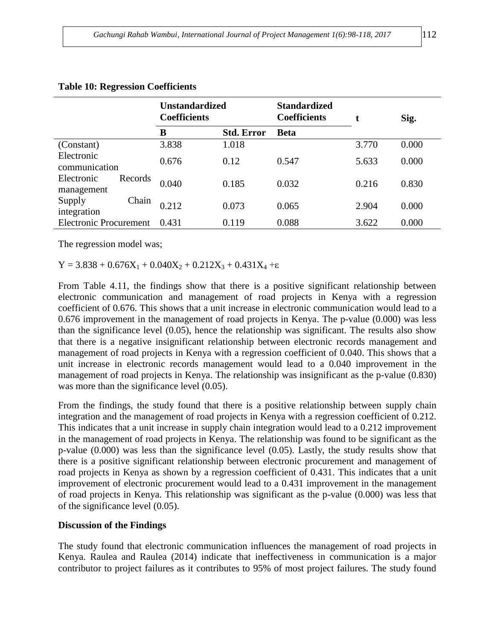|                               |         | <b>Unstandardized</b><br><b>Coefficients</b> |                   | <b>Standardized</b><br><b>Coefficients</b> | t     | Sig.  |
|-------------------------------|---------|----------------------------------------------|-------------------|--------------------------------------------|-------|-------|
|                               |         | B                                            | <b>Std. Error</b> | <b>Beta</b>                                |       |       |
| (Constant)                    |         | 3.838                                        | 1.018             |                                            | 3.770 | 0.000 |
| Electronic<br>communication   |         | 0.676                                        | 0.12              | 0.547                                      | 5.633 | 0.000 |
| Electronic<br>management      | Records | 0.040                                        | 0.185             | 0.032                                      | 0.216 | 0.830 |
| Supply<br>integration         | Chain   | 0.212                                        | 0.073             | 0.065                                      | 2.904 | 0.000 |
| <b>Electronic Procurement</b> |         | 0.431                                        | 0.119             | 0.088                                      | 3.622 | 0.000 |

#### **Table 10: Regression Coefficients**

The regression model was;

 $Y = 3.838 + 0.676X_1 + 0.040X_2 + 0.212X_3 + 0.431X_4 + \epsilon$ 

From Table 4.11, the findings show that there is a positive significant relationship between electronic communication and management of road projects in Kenya with a regression coefficient of 0.676. This shows that a unit increase in electronic communication would lead to a 0.676 improvement in the management of road projects in Kenya. The p-value (0.000) was less than the significance level (0.05), hence the relationship was significant. The results also show that there is a negative insignificant relationship between electronic records management and management of road projects in Kenya with a regression coefficient of 0.040. This shows that a unit increase in electronic records management would lead to a 0.040 improvement in the management of road projects in Kenya. The relationship was insignificant as the p-value (0.830) was more than the significance level  $(0.05)$ .

From the findings, the study found that there is a positive relationship between supply chain integration and the management of road projects in Kenya with a regression coefficient of 0.212. This indicates that a unit increase in supply chain integration would lead to a 0.212 improvement in the management of road projects in Kenya. The relationship was found to be significant as the p-value (0.000) was less than the significance level (0.05). Lastly, the study results show that there is a positive significant relationship between electronic procurement and management of road projects in Kenya as shown by a regression coefficient of 0.431. This indicates that a unit improvement of electronic procurement would lead to a 0.431 improvement in the management of road projects in Kenya. This relationship was significant as the p-value (0.000) was less that of the significance level (0.05).

#### **Discussion of the Findings**

The study found that electronic communication influences the management of road projects in Kenya. Raulea and Raulea (2014) indicate that ineffectiveness in communication is a major contributor to project failures as it contributes to 95% of most project failures. The study found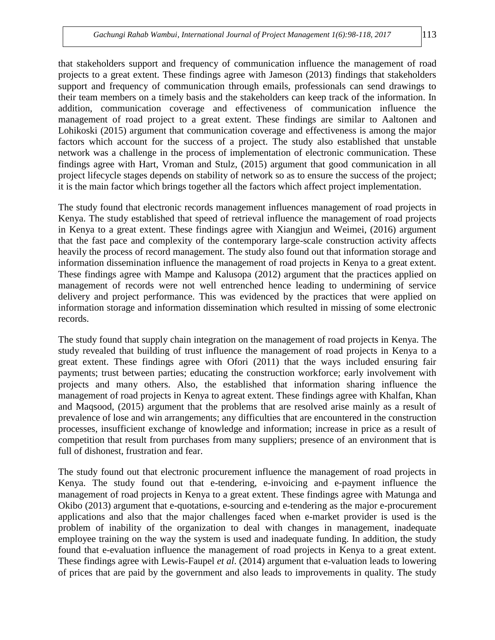that stakeholders support and frequency of communication influence the management of road projects to a great extent. These findings agree with Jameson (2013) findings that stakeholders support and frequency of communication through emails, professionals can send drawings to their team members on a timely basis and the stakeholders can keep track of the information. In addition, communication coverage and effectiveness of communication influence the management of road project to a great extent. These findings are similar to Aaltonen and Lohikoski (2015) argument that communication coverage and effectiveness is among the major

factors which account for the success of a project. The study also established that unstable network was a challenge in the process of implementation of electronic communication. These findings agree with Hart, Vroman and Stulz, (2015) argument that good communication in all project lifecycle stages depends on stability of network so as to ensure the success of the project; it is the main factor which brings together all the factors which affect project implementation.

The study found that electronic records management influences management of road projects in Kenya. The study established that speed of retrieval influence the management of road projects in Kenya to a great extent. These findings agree with Xiangjun and Weimei, (2016) argument that the fast pace and complexity of the contemporary large-scale construction activity affects heavily the process of record management. The study also found out that information storage and information dissemination influence the management of road projects in Kenya to a great extent. These findings agree with Mampe and Kalusopa (2012) argument that the practices applied on management of records were not well entrenched hence leading to undermining of service delivery and project performance. This was evidenced by the practices that were applied on information storage and information dissemination which resulted in missing of some electronic records.

The study found that supply chain integration on the management of road projects in Kenya. The study revealed that building of trust influence the management of road projects in Kenya to a great extent. These findings agree with Ofori (2011) that the ways included ensuring fair payments; trust between parties; educating the construction workforce; early involvement with projects and many others. Also, the established that information sharing influence the management of road projects in Kenya to agreat extent. These findings agree with Khalfan, Khan and Maqsood, (2015) argument that the problems that are resolved arise mainly as a result of prevalence of lose and win arrangements; any difficulties that are encountered in the construction processes, insufficient exchange of knowledge and information; increase in price as a result of competition that result from purchases from many suppliers; presence of an environment that is full of dishonest, frustration and fear.

The study found out that electronic procurement influence the management of road projects in Kenya. The study found out that e-tendering, e-invoicing and e-payment influence the management of road projects in Kenya to a great extent. These findings agree with Matunga and Okibo (2013) argument that e-quotations, e-sourcing and e-tendering as the major e-procurement applications and also that the major challenges faced when e-market provider is used is the problem of inability of the organization to deal with changes in management, inadequate employee training on the way the system is used and inadequate funding. In addition, the study found that e-evaluation influence the management of road projects in Kenya to a great extent. These findings agree with Lewis-Faupel *et al*. (2014) argument that e-valuation leads to lowering of prices that are paid by the government and also leads to improvements in quality. The study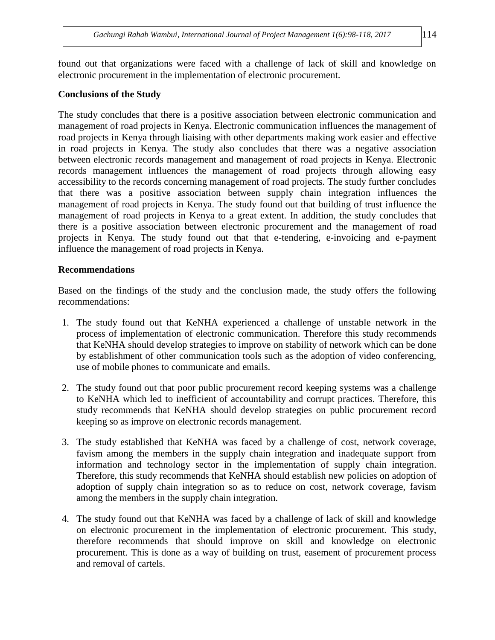found out that organizations were faced with a challenge of lack of skill and knowledge on electronic procurement in the implementation of electronic procurement.

### **Conclusions of the Study**

The study concludes that there is a positive association between electronic communication and management of road projects in Kenya. Electronic communication influences the management of road projects in Kenya through liaising with other departments making work easier and effective in road projects in Kenya. The study also concludes that there was a negative association between electronic records management and management of road projects in Kenya. Electronic records management influences the management of road projects through allowing easy accessibility to the records concerning management of road projects. The study further concludes that there was a positive association between supply chain integration influences the management of road projects in Kenya. The study found out that building of trust influence the management of road projects in Kenya to a great extent. In addition, the study concludes that there is a positive association between electronic procurement and the management of road projects in Kenya. The study found out that that e-tendering, e-invoicing and e-payment influence the management of road projects in Kenya.

### **Recommendations**

Based on the findings of the study and the conclusion made, the study offers the following recommendations:

- 1. The study found out that KeNHA experienced a challenge of unstable network in the process of implementation of electronic communication. Therefore this study recommends that KeNHA should develop strategies to improve on stability of network which can be done by establishment of other communication tools such as the adoption of video conferencing, use of mobile phones to communicate and emails.
- 2. The study found out that poor public procurement record keeping systems was a challenge to KeNHA which led to inefficient of accountability and corrupt practices. Therefore, this study recommends that KeNHA should develop strategies on public procurement record keeping so as improve on electronic records management.
- 3. The study established that KeNHA was faced by a challenge of cost, network coverage, favism among the members in the supply chain integration and inadequate support from information and technology sector in the implementation of supply chain integration. Therefore, this study recommends that KeNHA should establish new policies on adoption of adoption of supply chain integration so as to reduce on cost, network coverage, favism among the members in the supply chain integration.
- 4. The study found out that KeNHA was faced by a challenge of lack of skill and knowledge on electronic procurement in the implementation of electronic procurement. This study, therefore recommends that should improve on skill and knowledge on electronic procurement. This is done as a way of building on trust, easement of procurement process and removal of cartels.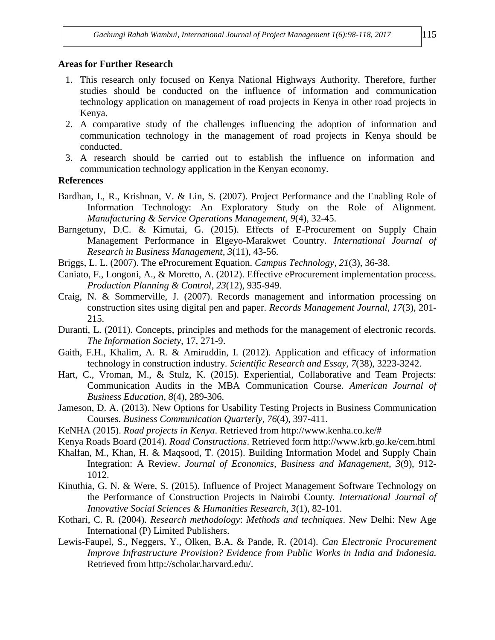#### **Areas for Further Research**

- 1. This research only focused on Kenya National Highways Authority. Therefore, further studies should be conducted on the influence of information and communication technology application on management of road projects in Kenya in other road projects in Kenya.
- 2. A comparative study of the challenges influencing the adoption of information and communication technology in the management of road projects in Kenya should be conducted.
- 3. A research should be carried out to establish the influence on information and communication technology application in the Kenyan economy.

### **References**

- Bardhan, I., R., Krishnan, V. & Lin, S. (2007). Project Performance and the Enabling Role of Information Technology: An Exploratory Study on the Role of Alignment. *Manufacturing & Service Operations Management, 9*(4), 32-45.
- Barngetuny, D.C. & Kimutai, G. (2015). Effects of E-Procurement on Supply Chain Management Performance in Elgeyo-Marakwet Country. *International Journal of Research in Business Management, 3*(11), 43-56.
- Briggs, L. L. (2007). The eProcurement Equation. *Campus Technology*, *21*(3), 36-38.
- Caniato, F., Longoni, A., & Moretto, A. (2012). Effective eProcurement implementation process. *Production Planning & Control*, *23*(12), 935-949.
- Craig, N. & Sommerville, J. (2007). Records management and information processing on construction sites using digital pen and paper. *Records Management Journal, 17*(3), 201- 215.
- Duranti, L. (2011). Concepts, principles and methods for the management of electronic records. *The Information Society,* 17, 271-9.
- Gaith, F.H., Khalim, A. R. & Amiruddin, I. (2012). Application and efficacy of information technology in construction industry. *Scientific Research and Essay, 7*(38), 3223-3242.
- Hart, C., Vroman, M., & Stulz, K. (2015). Experiential, Collaborative and Team Projects: Communication Audits in the MBA Communication Course. *American Journal of Business Education*, *8*(4), 289-306.
- Jameson, D. A. (2013). New Options for Usability Testing Projects in Business Communication Courses. *Business Communication Quarterly, 76*(4), 397-411.
- KeNHA (2015). *Road projects in Kenya*. Retrieved from http://www.kenha.co.ke/#
- Kenya Roads Board (2014). *Road Constructions*. Retrieved form http://www.krb.go.ke/cem.html
- Khalfan, M., Khan, H. & Maqsood, T. (2015). Building Information Model and Supply Chain Integration: A Review. *Journal of Economics, Business and Management, 3*(9), 912- 1012.
- Kinuthia, G. N. & Were, S. (2015). Influence of Project Management Software Technology on the Performance of Construction Projects in Nairobi County. *International Journal of Innovative Social Sciences & Humanities Research, 3*(1), 82-101.
- Kothari, C. R. (2004). *Research methodology*: *Methods and techniques*. New Delhi: New Age International (P) Limited Publishers.
- Lewis-Faupel, S., Neggers, Y., Olken, B.A. & Pande, R. (2014). *Can Electronic Procurement Improve Infrastructure Provision? Evidence from Public Works in India and Indonesia.* Retrieved from http://scholar.harvard.edu/.